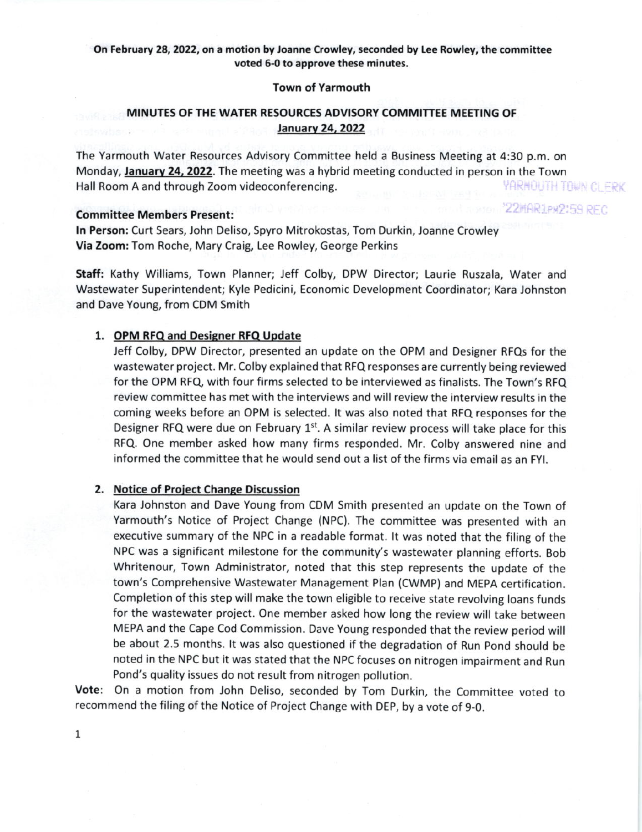## On February 28, 2022, on a motion by Joanne Crowley, seconded by Lee Rowley, the committee voted 6-0 to approve these minutes.

### Town of Yarmouth

# MINUTES OF THE WATER RESOURCES ADVISORY COMMITTEE MEETING OF **January 24, 2022**

The Yarmouth Water Resources Advisory Committee held a Business Meeting at 4:30 p.m. on Monday, January 24, 2022. The meeting was a hybrid meeting conducted in person in the Town<br>Hall Room A and through Zoom videoconferencing. Hall Room A and through zoom videoconferencing.

22MAR1PM2:59 REC

## Committee Members Present:

In Person: Curt Sears, John Deliso, Spyro Mitrokostas, Tom Durkin, Joanne Crowley Via Zoom: Tom Roche, Mary Craig, Lee Rowley, George Perkins

Staft: Xathy Williams, Town Planner; Jeff Colby, DPW Director; Laurie Ruszala, Water and Wastewater Superintendentj Kyle Pedicini, Economic Development Coordinator; Kara Johnston and Dave Young, from CDM Smith

#### 1. OPM RFQ and Designer RFQ Update

Jeff Colby, DPW Director, presented an update on the OPM and Designer RFQs for the wastewater project. Mr. Colby explained that RFQ responses are currently being reviewed for the OPM RFQ, with four firms selected to be interviewed as finalists. The Town's RFQ review committee has met with the interviews and will review the interview results in the coming weeks before an OPM is selected. lt was also noted that RFQ responses for the Designer RFQ were due on February 1<sup>st</sup>. A similar review process will take place for this RFQ. One member asked how many firms responded. Mr. Colby answered nine and informed the committee that he would send out a list of the firms via email as an Fyl.

## 2. Notice of Project Change Discussion

Kara lohnston and Dave Young from CDM Smith presented an update on the Town of Yarmouth's Notice of Project Change (NPC). The committee was presented with an executive summary of the NPC in a readable format. lt was noted that the filing of the NPC was a significant milestone for the community's wastewater planning efforts. Bob Whritenour, Town Administrator, noted that this step represents the update of the town's Comprehensive Wastewater Management Plan (CWMP) and MEpA certification. Completion of this step will make the town eligible to receive state revolving loans funds for the wastewater project. One member asked how long the review will take between MEPA and the Cape Cod Commission. Dave young responded that the review period will be about 2.5 months. lt was also questioned if the degradation of Run pond should be noted in the NPC but it was stated that the NpC focuses on nitrogen impairment and Run Pond's quality issues do not result from nitrogen pollution.

Vote: On a motion from John Deliso, seconded by Tom Durkin, the Committee voted to recommend the filing of the Notice of Project Change with DEp, by a vote of 9-0.

1